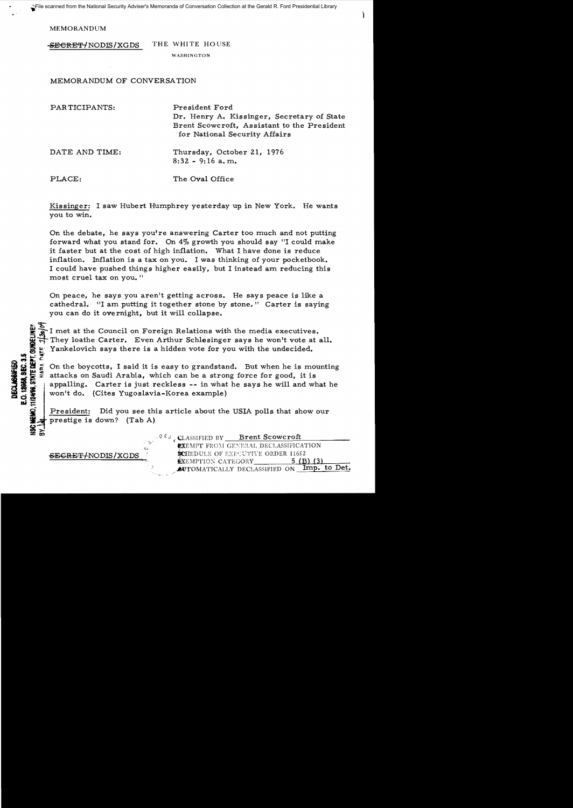MEMORANDUM

SECRET/NODIS/XGDS THE WHITE HOUSE

WASHINGTON

MEMORANDUM OF CONVERSATION

| PARTICIPANTS:  | President Ford<br>Dr. Henry A. Kissinger, Secretary of State<br>Brent Scowcroft, Assistant to the President<br>for National Security Affairs |
|----------------|----------------------------------------------------------------------------------------------------------------------------------------------|
| DATE AND TIME: | Thursday, October 21, 1976<br>$8:32 - 9:16$ a.m.                                                                                             |
| PLACE:         | The Oval Office                                                                                                                              |

Kissinger: I saw Hubert Humphrey yesterday up in New York. He wants you to win.

On the debate, he says you're answering Carter too much and not putting forward what you stand for. On  $4\%$  growth you should say "I could make it faster but at the cost of high inflation. What I have done is reduce inflation. Inflation is a tax on you. I was thinking of your pocketbook. I could have pushed things higher easily, but I instead am reducing this most cruel tax on you."

On peace, he says you aren't getting across. He says peace is like a cathedral. "I am putting it together stone by stone." Carter is saying you can do it overnight, but it will collapse.

They loathe Carter. Even Arthur Schlesinger says he won't vote at all.<br>  $\frac{u}{\epsilon}$  Yankelovich says there is a hidden vote for you with the undecided.

gt:- Yankelovich says there is a hidden vote for you with the undecided.<br>
given it is a control of the boycotts, I said it is easy to grandstand. But when he is more to the issue of a strategy of the same in appalling. Car COLOR CONTROLLER CONTROLLER CONTROLLER CONTROLLER CONTROLLER CONTROLLER CONTROLLER CONTROLLER CONTROLLER CONTROLLER CONTROLLER CONTROLLER CONTROLLER CONTROLLER CONTROLLER CONTROLLER CONTROLLER CONTROLLER CONTROLLER CONTROL

won't do. (Cites Yugoslavia-Korea example)<br>**President:** Did you see this article about the USIA polls that show our **prestige is down?** (Tab A)

Ł١

~~ (\ 1\ J (CLASSIFIED BY \_~B~r=-e:::n=t~S::.:c::.:o=-w=c~r..:;o~ft~\_\_\_\_\_ **#XEMPT FROM GENERAL DECLASSIFICATION** SEGRET/NODIS/XGDS SCHEDULE OF EXECUTIVE ORDER 11652<br>EXEMPTION CATEGORY 5 (B) (3) EXEMPTION CATEGORY AUTOMATICALLY DECLASSIFIED ON Imp. to Det.

coinder and the present completings.<br>Conditional and the completion of the complete complete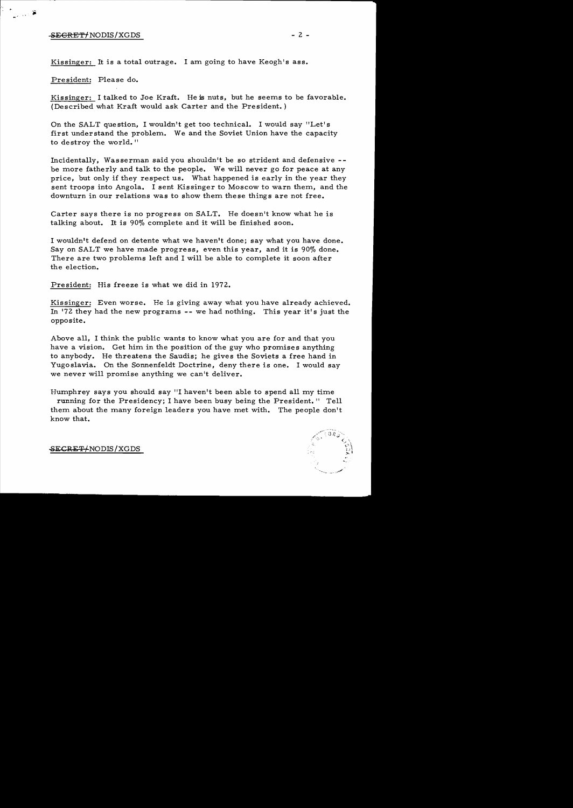## SECRET/ NODIS/XGDS - 2 -

≆ دین ر

Kissinger: It is a total outrage. I am going to have Keogh's ass.

President: Please do.

Kissinger: I talked to Joe Kraft. He is nuts, but he seems to be favorable. (Described what Kraft would ask Carter and the President. )

On the SALT question, I wouldn't get too technical. I would say "Let's first understand the problem. We and the Soviet Union have the capacity to destroy the world. "

Incidentally, Wasserman said you shouldn't be so strident and defensive be more fatherly and talk to the people. We will never go for peace at any price, but only if they respect us. What happened is early in the year they sent troops into Angola. I sent Kissinger to Moscow to warn them, and the downturn in our relations was to show them these things are not free.

Carter says there is no progress on SALT. He doesn't know what he is talking about. It is 90% complete and it will be finished soon.

I wouldn't defend on detente what we haven't done; say what you have done. Say on SALT we have made progress, even this year, and it is 90% done. There are two problems left and I will be able to complete it soon after the election.

President: His freeze is what we did in 1972.

Kissinger: Even worse. He is giving away what you have already achieved. In '72 they had the new programs -- we had nothing. This year it's just the opposite.

Above all, I think the public wants to know what you are for and that you have a vision. Get him in the position of the guy who promises anything to anybody. He threatens the Saudis; he gives the Soviets a free hand in Yugoslavia. On the Sonnenfeldt Doctrine, deny there is one. I would say we never will promise anything we can't deliver.

Humphrey says you should say "I haven't been able to spend all my time

running for the Presidency; I have been busy being the President." Tell them about the many foreign leaders you have met with. The people don't know that.



SECRET/ NODIS/XGDS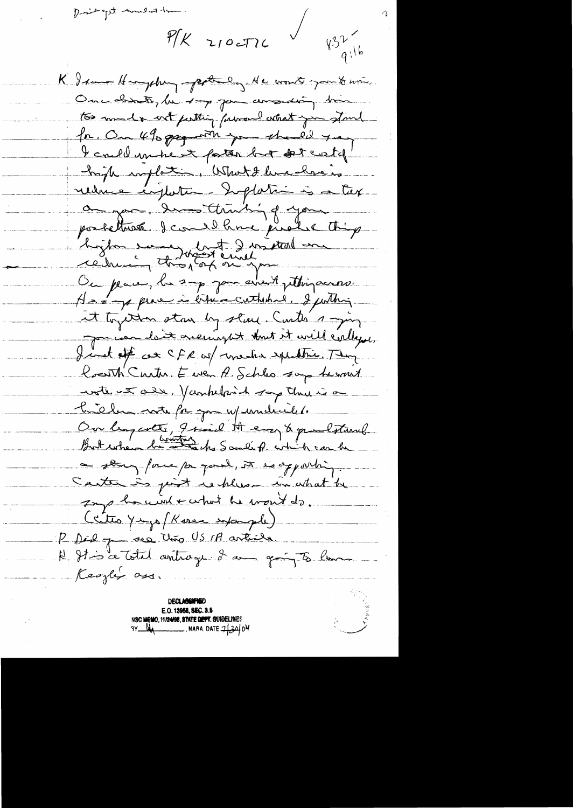nt to land top him

 $P/K$  210cTIL

 $\begin{array}{ccc} \sqrt{\frac{3^{2}}{9^{16}}}}\end{array}$ K I seem Hongsburg apptending. He won'ts you to use. One distinte, he top pour answering time to much wet perthing forward what you stand for. On 490 pagaments you should year I could un te esta but det costof' high implation. What I live close is reduce inflation diffation à a tax a go de limiting of your postethink I could have pushe thing byto en lat 2 mitual au Ou place, la 2-p jou avent pettinguano. A - a per le vitile cathedre. I justin et touten stan by start Curte 1 -jun pour comme de De onerring et tout et civil certage. Jind of as CFR up we has speaking They Constitution Europe A Schles son de mont wate ut all. Vankland say the is a trieben note for you w/ undereilet. Our lingerets, I said At easy & paul start. But when he also Sandiff white can be a story force payment, it is appointing. Santa is joint rechlemen in what he Implomint + what he won't do. Critis Yuzzo (Karen informale) P Dèl p rec Uno US M article N Stis ce Total antrage I am going to lime Keozla ass.

**DECLASSWARD** E.O. 12958, SEC. 3.5 N**sc Memo, 11/24/98, STATE DIEPT. GUHDELIN**ES 

 $\mathcal{O}$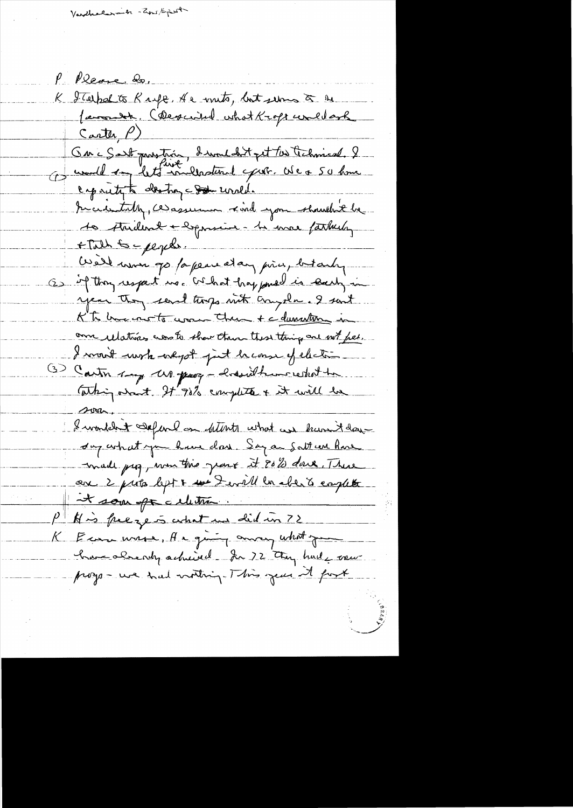Varthalarmin - apriligent

P. Please 20, K Italpal to Knife, He mits, but some à se Carter  $\rho$ ) Ou i S'est prostain, devoudant pet les technical. 2 caparity to destroy - Sode uncle tercedetath, ce assumer civil you showthit be 10 Avrillent + expositive - 12 mars fatherly FTalk Scpepel. Well won go for peace et any price, but only Os if they respect us. What happened is seeing in year they send torgo with crysles. I sent KT here note was the + c dumenture in on ulations as to show then these things one with feel. I won't work we got just heave of electric (3) Carter say us pour - hasilkun restat to Whip ant It'98% complete + it will be I wondered Separe on deterts what we haven't day sur what you have done Say a Satt un home made pag, was this grave it 8023 dark. There on 2 prits left & we fertil la cher à emplete et som oft celetier.  $P^+$  of is freezes what we did in ? ) K Econ wase, A a ging away what you have also not achieved for 72 they had come progs-we had nothing- This year it fork